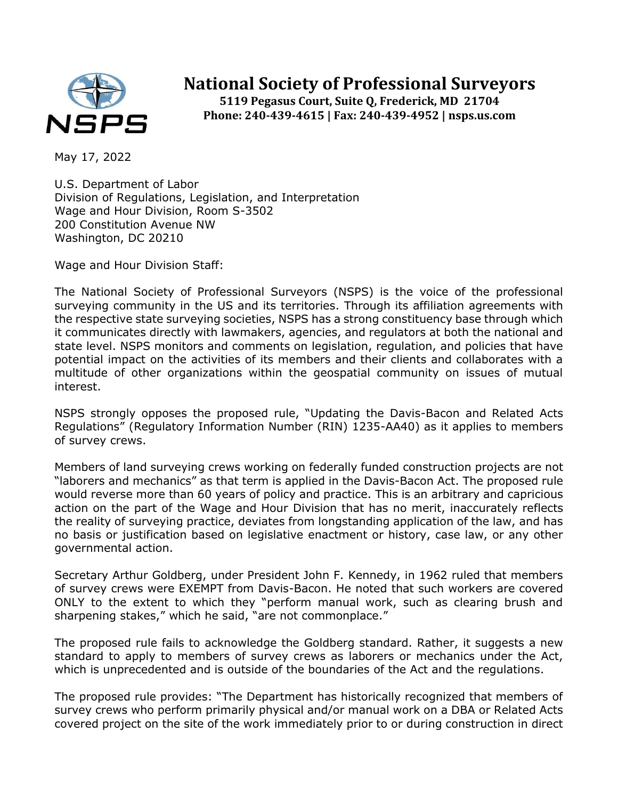

## **National Society of Professional Surveyors**

**5119 Pegasus Court, Suite Q, Frederick, MD 21704 Phone: 240-439-4615 | Fax: 240-439-4952 | nsps.us.com**

May 17, 2022

U.S. Department of Labor Division of Regulations, Legislation, and Interpretation Wage and Hour Division, Room S-3502 200 Constitution Avenue NW Washington, DC 20210

Wage and Hour Division Staff:

The National Society of Professional Surveyors (NSPS) is the voice of the professional surveying community in the US and its territories. Through its affiliation agreements with the respective state surveying societies, NSPS has a strong constituency base through which it communicates directly with lawmakers, agencies, and regulators at both the national and state level. NSPS monitors and comments on legislation, regulation, and policies that have potential impact on the activities of its members and their clients and collaborates with a multitude of other organizations within the geospatial community on issues of mutual interest.

NSPS strongly opposes the proposed rule, "Updating the Davis-Bacon and Related Acts Regulations" (Regulatory Information Number (RIN) 1235-AA40) as it applies to members of survey crews.

Members of land surveying crews working on federally funded construction projects are not "laborers and mechanics" as that term is applied in the Davis-Bacon Act. The proposed rule would reverse more than 60 years of policy and practice. This is an arbitrary and capricious action on the part of the Wage and Hour Division that has no merit, inaccurately reflects the reality of surveying practice, deviates from longstanding application of the law, and has no basis or justification based on legislative enactment or history, case law, or any other governmental action.

Secretary Arthur Goldberg, under President John F. Kennedy, in 1962 ruled that members of survey crews were EXEMPT from Davis-Bacon. He noted that such workers are covered ONLY to the extent to which they "perform manual work, such as clearing brush and sharpening stakes," which he said, "are not commonplace."

The proposed rule fails to acknowledge the Goldberg standard. Rather, it suggests a new standard to apply to members of survey crews as laborers or mechanics under the Act, which is unprecedented and is outside of the boundaries of the Act and the regulations.

The proposed rule provides: "The Department has historically recognized that members of survey crews who perform primarily physical and/or manual work on a DBA or Related Acts covered project on the site of the work immediately prior to or during construction in direct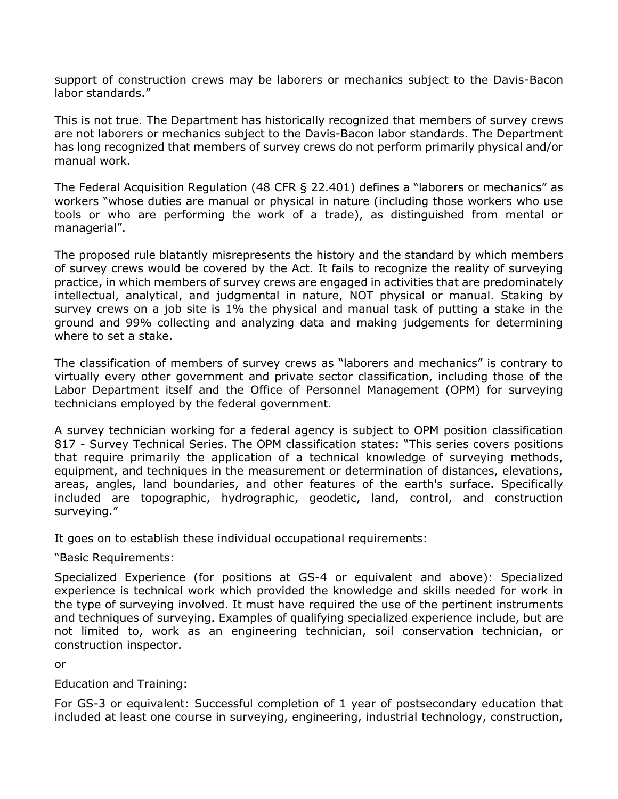support of construction crews may be laborers or mechanics subject to the Davis-Bacon labor standards."

This is not true. The Department has historically recognized that members of survey crews are not laborers or mechanics subject to the Davis-Bacon labor standards. The Department has long recognized that members of survey crews do not perform primarily physical and/or manual work.

The Federal Acquisition Regulation (48 CFR § 22.401) defines a "laborers or mechanics" as workers "whose duties are manual or physical in nature (including those workers who use tools or who are performing the work of a trade), as distinguished from mental or managerial".

The proposed rule blatantly misrepresents the history and the standard by which members of survey crews would be covered by the Act. It fails to recognize the reality of surveying practice, in which members of survey crews are engaged in activities that are predominately intellectual, analytical, and judgmental in nature, NOT physical or manual. Staking by survey crews on a job site is 1% the physical and manual task of putting a stake in the ground and 99% collecting and analyzing data and making judgements for determining where to set a stake.

The classification of members of survey crews as "laborers and mechanics" is contrary to virtually every other government and private sector classification, including those of the Labor Department itself and the Office of Personnel Management (OPM) for surveying technicians employed by the federal government.

A survey technician working for a federal agency is subject to OPM position classification 817 - Survey Technical Series. The OPM classification states: "This series covers positions that require primarily the application of a technical knowledge of surveying methods, equipment, and techniques in the measurement or determination of distances, elevations, areas, angles, land boundaries, and other features of the earth's surface. Specifically included are topographic, hydrographic, geodetic, land, control, and construction surveying."

It goes on to establish these individual occupational requirements:

"Basic Requirements:

Specialized Experience (for positions at GS-4 or equivalent and above): Specialized experience is technical work which provided the knowledge and skills needed for work in the type of surveying involved. It must have required the use of the pertinent instruments and techniques of surveying. Examples of qualifying specialized experience include, but are not limited to, work as an engineering technician, soil conservation technician, or construction inspector.

or

Education and Training:

For GS-3 or equivalent: Successful completion of 1 year of postsecondary education that included at least one course in surveying, engineering, industrial technology, construction,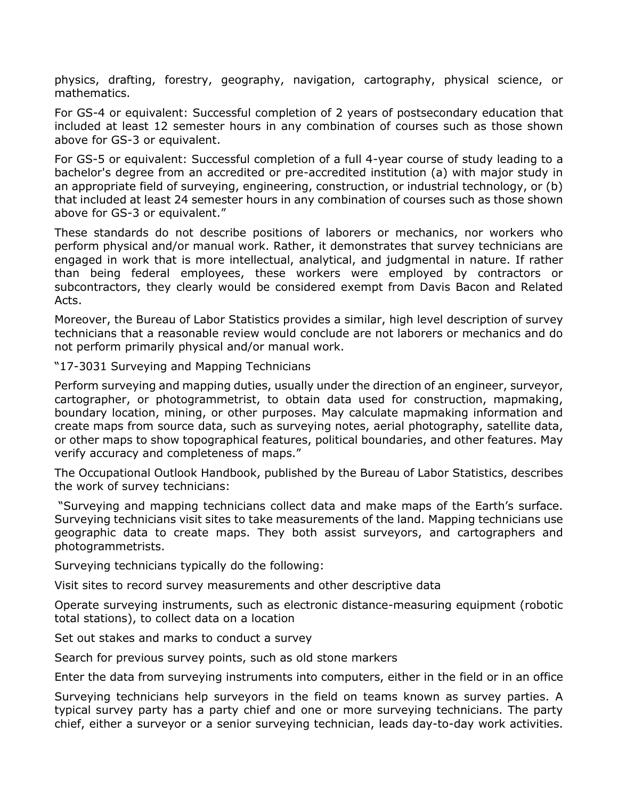physics, drafting, forestry, geography, navigation, cartography, physical science, or mathematics.

For GS-4 or equivalent: Successful completion of 2 years of postsecondary education that included at least 12 semester hours in any combination of courses such as those shown above for GS-3 or equivalent.

For GS-5 or equivalent: Successful completion of a full 4-year course of study leading to a bachelor's degree from an accredited or pre-accredited institution (a) with major study in an appropriate field of surveying, engineering, construction, or industrial technology, or (b) that included at least 24 semester hours in any combination of courses such as those shown above for GS-3 or equivalent."

These standards do not describe positions of laborers or mechanics, nor workers who perform physical and/or manual work. Rather, it demonstrates that survey technicians are engaged in work that is more intellectual, analytical, and judgmental in nature. If rather than being federal employees, these workers were employed by contractors or subcontractors, they clearly would be considered exempt from Davis Bacon and Related Acts.

Moreover, the Bureau of Labor Statistics provides a similar, high level description of survey technicians that a reasonable review would conclude are not laborers or mechanics and do not perform primarily physical and/or manual work.

"17-3031 Surveying and Mapping Technicians

Perform surveying and mapping duties, usually under the direction of an engineer, surveyor, cartographer, or photogrammetrist, to obtain data used for construction, mapmaking, boundary location, mining, or other purposes. May calculate mapmaking information and create maps from source data, such as surveying notes, aerial photography, satellite data, or other maps to show topographical features, political boundaries, and other features. May verify accuracy and completeness of maps."

The Occupational Outlook Handbook, published by the Bureau of Labor Statistics, describes the work of survey technicians:

"Surveying and mapping technicians collect data and make maps of the Earth's surface. Surveying technicians visit sites to take measurements of the land. Mapping technicians use geographic data to create maps. They both assist surveyors, and cartographers and photogrammetrists.

Surveying technicians typically do the following:

Visit sites to record survey measurements and other descriptive data

Operate surveying instruments, such as electronic distance-measuring equipment (robotic total stations), to collect data on a location

Set out stakes and marks to conduct a survey

Search for previous survey points, such as old stone markers

Enter the data from surveying instruments into computers, either in the field or in an office

Surveying technicians help surveyors in the field on teams known as survey parties. A typical survey party has a party chief and one or more surveying technicians. The party chief, either a surveyor or a senior surveying technician, leads day-to-day work activities.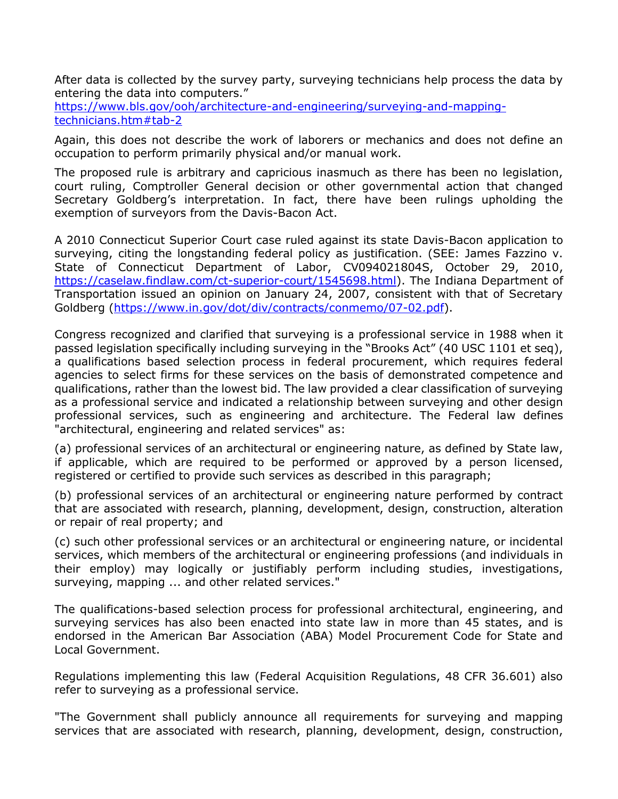After data is collected by the survey party, surveying technicians help process the data by entering the data into computers."

https://www.bls.gov/ooh/architecture-and-engineering/surveying-and-mappingtechnicians.htm#tab-2

Again, this does not describe the work of laborers or mechanics and does not define an occupation to perform primarily physical and/or manual work.

The proposed rule is arbitrary and capricious inasmuch as there has been no legislation, court ruling, Comptroller General decision or other governmental action that changed Secretary Goldberg's interpretation. In fact, there have been rulings upholding the exemption of surveyors from the Davis-Bacon Act.

A 2010 Connecticut Superior Court case ruled against its state Davis-Bacon application to surveying, citing the longstanding federal policy as justification. (SEE: James Fazzino v. State of Connecticut Department of Labor, CV094021804S, October 29, 2010, https://caselaw.findlaw.com/ct-superior-court/1545698.html). The Indiana Department of Transportation issued an opinion on January 24, 2007, consistent with that of Secretary Goldberg (https://www.in.gov/dot/div/contracts/conmemo/07-02.pdf).

Congress recognized and clarified that surveying is a professional service in 1988 when it passed legislation specifically including surveying in the "Brooks Act" (40 USC 1101 et seq), a qualifications based selection process in federal procurement, which requires federal agencies to select firms for these services on the basis of demonstrated competence and qualifications, rather than the lowest bid. The law provided a clear classification of surveying as a professional service and indicated a relationship between surveying and other design professional services, such as engineering and architecture. The Federal law defines "architectural, engineering and related services" as:

(a) professional services of an architectural or engineering nature, as defined by State law, if applicable, which are required to be performed or approved by a person licensed, registered or certified to provide such services as described in this paragraph;

(b) professional services of an architectural or engineering nature performed by contract that are associated with research, planning, development, design, construction, alteration or repair of real property; and

(c) such other professional services or an architectural or engineering nature, or incidental services, which members of the architectural or engineering professions (and individuals in their employ) may logically or justifiably perform including studies, investigations, surveying, mapping ... and other related services."

The qualifications-based selection process for professional architectural, engineering, and surveying services has also been enacted into state law in more than 45 states, and is endorsed in the American Bar Association (ABA) Model Procurement Code for State and Local Government.

Regulations implementing this law (Federal Acquisition Regulations, 48 CFR 36.601) also refer to surveying as a professional service.

"The Government shall publicly announce all requirements for surveying and mapping services that are associated with research, planning, development, design, construction,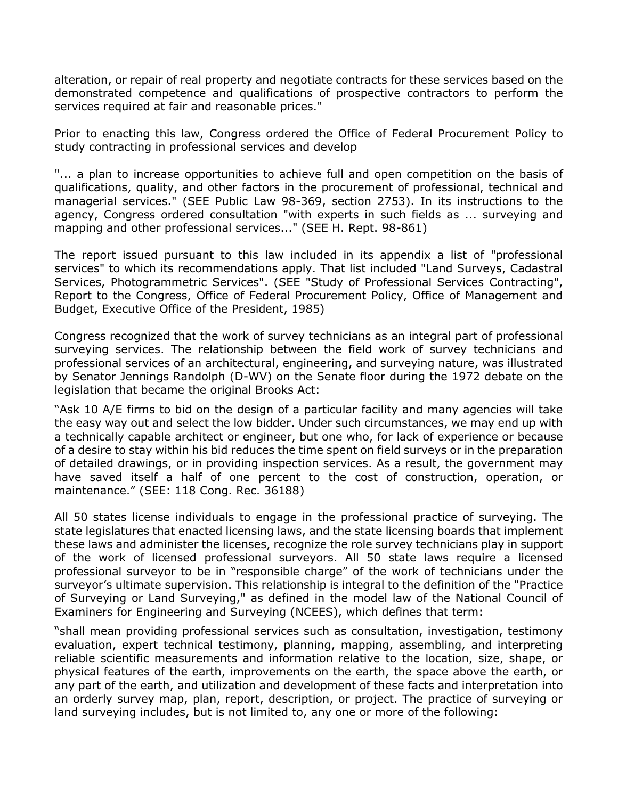alteration, or repair of real property and negotiate contracts for these services based on the demonstrated competence and qualifications of prospective contractors to perform the services required at fair and reasonable prices."

Prior to enacting this law, Congress ordered the Office of Federal Procurement Policy to study contracting in professional services and develop

"... a plan to increase opportunities to achieve full and open competition on the basis of qualifications, quality, and other factors in the procurement of professional, technical and managerial services." (SEE Public Law 98-369, section 2753). In its instructions to the agency, Congress ordered consultation "with experts in such fields as ... surveying and mapping and other professional services..." (SEE H. Rept. 98-861)

The report issued pursuant to this law included in its appendix a list of "professional services" to which its recommendations apply. That list included "Land Surveys, Cadastral Services, Photogrammetric Services". (SEE "Study of Professional Services Contracting", Report to the Congress, Office of Federal Procurement Policy, Office of Management and Budget, Executive Office of the President, 1985)

Congress recognized that the work of survey technicians as an integral part of professional surveying services. The relationship between the field work of survey technicians and professional services of an architectural, engineering, and surveying nature, was illustrated by Senator Jennings Randolph (D-WV) on the Senate floor during the 1972 debate on the legislation that became the original Brooks Act:

"Ask 10 A/E firms to bid on the design of a particular facility and many agencies will take the easy way out and select the low bidder. Under such circumstances, we may end up with a technically capable architect or engineer, but one who, for lack of experience or because of a desire to stay within his bid reduces the time spent on field surveys or in the preparation of detailed drawings, or in providing inspection services. As a result, the government may have saved itself a half of one percent to the cost of construction, operation, or maintenance." (SEE: 118 Cong. Rec. 36188)

All 50 states license individuals to engage in the professional practice of surveying. The state legislatures that enacted licensing laws, and the state licensing boards that implement these laws and administer the licenses, recognize the role survey technicians play in support of the work of licensed professional surveyors. All 50 state laws require a licensed professional surveyor to be in "responsible charge" of the work of technicians under the surveyor's ultimate supervision. This relationship is integral to the definition of the "Practice of Surveying or Land Surveying," as defined in the model law of the National Council of Examiners for Engineering and Surveying (NCEES), which defines that term:

"shall mean providing professional services such as consultation, investigation, testimony evaluation, expert technical testimony, planning, mapping, assembling, and interpreting reliable scientific measurements and information relative to the location, size, shape, or physical features of the earth, improvements on the earth, the space above the earth, or any part of the earth, and utilization and development of these facts and interpretation into an orderly survey map, plan, report, description, or project. The practice of surveying or land surveying includes, but is not limited to, any one or more of the following: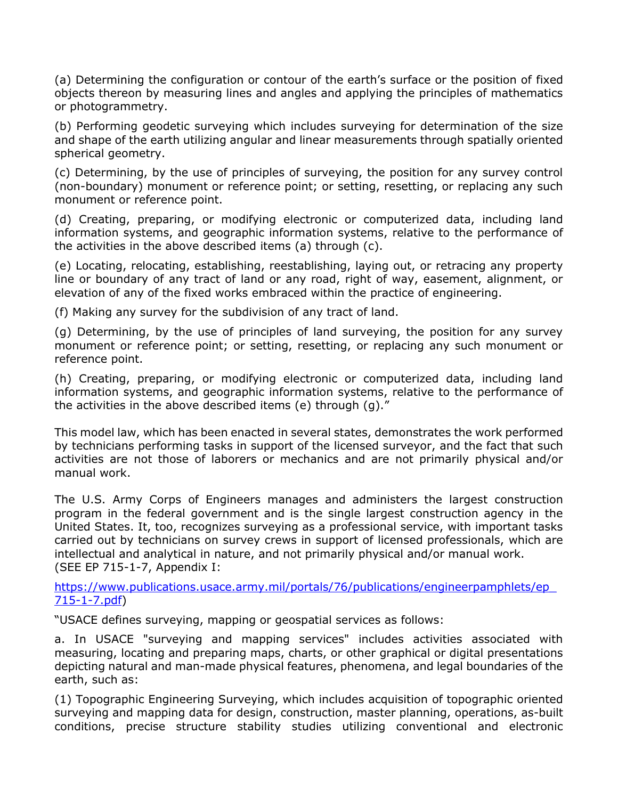(a) Determining the configuration or contour of the earth's surface or the position of fixed objects thereon by measuring lines and angles and applying the principles of mathematics or photogrammetry.

(b) Performing geodetic surveying which includes surveying for determination of the size and shape of the earth utilizing angular and linear measurements through spatially oriented spherical geometry.

(c) Determining, by the use of principles of surveying, the position for any survey control (non-boundary) monument or reference point; or setting, resetting, or replacing any such monument or reference point.

(d) Creating, preparing, or modifying electronic or computerized data, including land information systems, and geographic information systems, relative to the performance of the activities in the above described items (a) through (c).

(e) Locating, relocating, establishing, reestablishing, laying out, or retracing any property line or boundary of any tract of land or any road, right of way, easement, alignment, or elevation of any of the fixed works embraced within the practice of engineering.

(f) Making any survey for the subdivision of any tract of land.

(g) Determining, by the use of principles of land surveying, the position for any survey monument or reference point; or setting, resetting, or replacing any such monument or reference point.

(h) Creating, preparing, or modifying electronic or computerized data, including land information systems, and geographic information systems, relative to the performance of the activities in the above described items (e) through (g)."

This model law, which has been enacted in several states, demonstrates the work performed by technicians performing tasks in support of the licensed surveyor, and the fact that such activities are not those of laborers or mechanics and are not primarily physical and/or manual work.

The U.S. Army Corps of Engineers manages and administers the largest construction program in the federal government and is the single largest construction agency in the United States. It, too, recognizes surveying as a professional service, with important tasks carried out by technicians on survey crews in support of licensed professionals, which are intellectual and analytical in nature, and not primarily physical and/or manual work. (SEE EP 715-1-7, Appendix I:

https://www.publications.usace.army.mil/portals/76/publications/engineerpamphlets/ep\_ 715-1-7.pdf)

"USACE defines surveying, mapping or geospatial services as follows:

a. In USACE "surveying and mapping services" includes activities associated with measuring, locating and preparing maps, charts, or other graphical or digital presentations depicting natural and man-made physical features, phenomena, and legal boundaries of the earth, such as:

(1) Topographic Engineering Surveying, which includes acquisition of topographic oriented surveying and mapping data for design, construction, master planning, operations, as-built conditions, precise structure stability studies utilizing conventional and electronic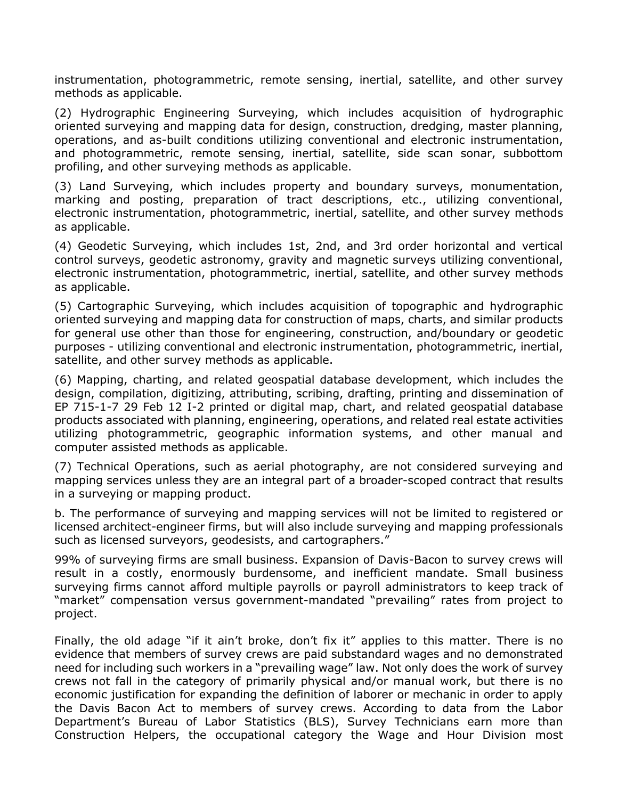instrumentation, photogrammetric, remote sensing, inertial, satellite, and other survey methods as applicable.

(2) Hydrographic Engineering Surveying, which includes acquisition of hydrographic oriented surveying and mapping data for design, construction, dredging, master planning, operations, and as-built conditions utilizing conventional and electronic instrumentation, and photogrammetric, remote sensing, inertial, satellite, side scan sonar, subbottom profiling, and other surveying methods as applicable.

(3) Land Surveying, which includes property and boundary surveys, monumentation, marking and posting, preparation of tract descriptions, etc., utilizing conventional, electronic instrumentation, photogrammetric, inertial, satellite, and other survey methods as applicable.

(4) Geodetic Surveying, which includes 1st, 2nd, and 3rd order horizontal and vertical control surveys, geodetic astronomy, gravity and magnetic surveys utilizing conventional, electronic instrumentation, photogrammetric, inertial, satellite, and other survey methods as applicable.

(5) Cartographic Surveying, which includes acquisition of topographic and hydrographic oriented surveying and mapping data for construction of maps, charts, and similar products for general use other than those for engineering, construction, and/boundary or geodetic purposes - utilizing conventional and electronic instrumentation, photogrammetric, inertial, satellite, and other survey methods as applicable.

(6) Mapping, charting, and related geospatial database development, which includes the design, compilation, digitizing, attributing, scribing, drafting, printing and dissemination of EP 715-1-7 29 Feb 12 I-2 printed or digital map, chart, and related geospatial database products associated with planning, engineering, operations, and related real estate activities utilizing photogrammetric, geographic information systems, and other manual and computer assisted methods as applicable.

(7) Technical Operations, such as aerial photography, are not considered surveying and mapping services unless they are an integral part of a broader-scoped contract that results in a surveying or mapping product.

b. The performance of surveying and mapping services will not be limited to registered or licensed architect-engineer firms, but will also include surveying and mapping professionals such as licensed surveyors, geodesists, and cartographers."

99% of surveying firms are small business. Expansion of Davis-Bacon to survey crews will result in a costly, enormously burdensome, and inefficient mandate. Small business surveying firms cannot afford multiple payrolls or payroll administrators to keep track of "market" compensation versus government-mandated "prevailing" rates from project to project.

Finally, the old adage "if it ain't broke, don't fix it" applies to this matter. There is no evidence that members of survey crews are paid substandard wages and no demonstrated need for including such workers in a "prevailing wage" law. Not only does the work of survey crews not fall in the category of primarily physical and/or manual work, but there is no economic justification for expanding the definition of laborer or mechanic in order to apply the Davis Bacon Act to members of survey crews. According to data from the Labor Department's Bureau of Labor Statistics (BLS), Survey Technicians earn more than Construction Helpers, the occupational category the Wage and Hour Division most